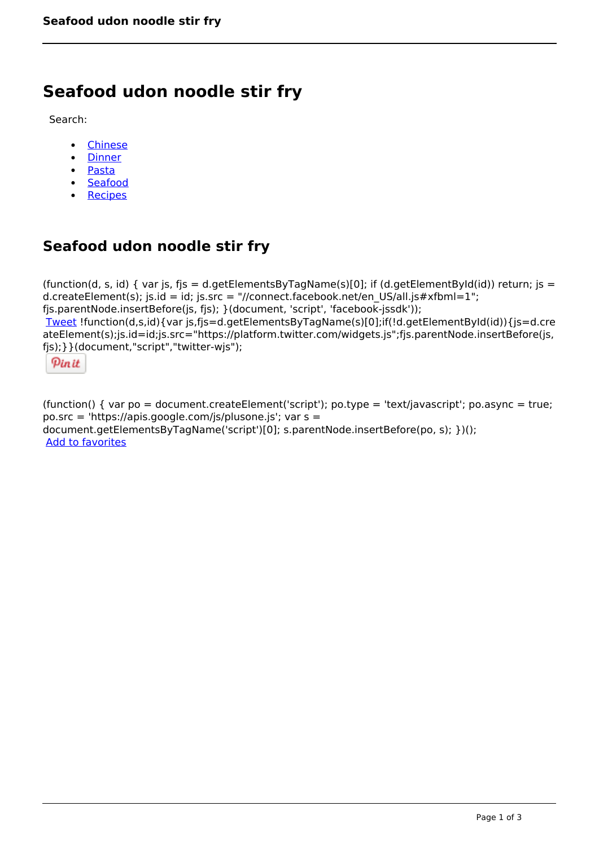# **Seafood udon noodle stir fry**

Search:

- [Chinese](https://www.naturalhealthmag.com.au/nourish/chinese)  $\bullet$
- [Dinner](https://www.naturalhealthmag.com.au/nourish/dinner-ideas)  $\bullet$
- $\bullet$ [Pasta](https://www.naturalhealthmag.com.au/nourish/pasta)
- [Seafood](https://www.naturalhealthmag.com.au/nourish/seafood)
- [Recipes](https://www.naturalhealthmag.com.au/nourish/recipes)

# **Seafood udon noodle stir fry**

(function(d, s, id) { var is, fis = d.getElementsByTagName(s)[0]; if (d.getElementById(id)) return; is = d.createElement(s); js.id = id; js.src = "//connect.facebook.net/en\_US/all.js#xfbml=1"; fjs.parentNode.insertBefore(js, fjs); }(document, 'script', 'facebook-jssdk')); [Tweet](https://twitter.com/share) !function(d,s,id){var js,fjs=d.getElementsByTagName(s)[0];if(!d.getElementById(id)){js=d.cre ateElement(s);js.id=id;js.src="https://platform.twitter.com/widgets.js";fjs.parentNode.insertBefore(js, fjs);}}(document,"script","twitter-wjs");

Pinit

(function() { var po = document.createElement('script'); po.type = 'text/javascript'; po.async = true; po.src = 'https://apis.google.com/js/plusone.js'; var s = document.getElementsByTagName('script')[0]; s.parentNode.insertBefore(po, s); })(); Add to favorites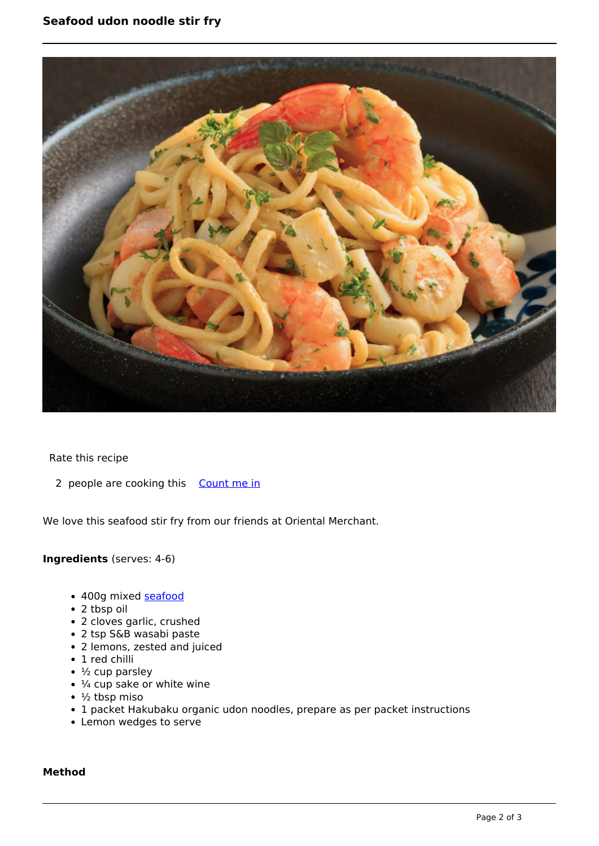

Rate this recipe

2 people are cooking this [Count me in](https://www.naturalhealthmag.com.au/flag/flag/favorites/888?destination=printpdf%2F888&token=71c165e3f047d9eeb72835169a05bd72)

We love this seafood stir fry from our friends at Oriental Merchant.

## **Ingredients** (serves: 4-6)

- 400g mixed [seafood](http://www.naturalhealthmag.com.au/nourish/seafood)
- 2 tbsp oil
- 2 cloves garlic, crushed
- 2 tsp S&B wasabi paste
- 2 lemons, zested and juiced
- 1 red chilli
- $\bullet$   $\frac{1}{2}$  cup parsley
- $\cdot$   $\frac{1}{4}$  cup sake or white wine
- $\cdot$   $\frac{1}{2}$  tbsp miso
- 1 packet Hakubaku organic udon noodles, prepare as per packet instructions
- Lemon wedges to serve

### **Method**